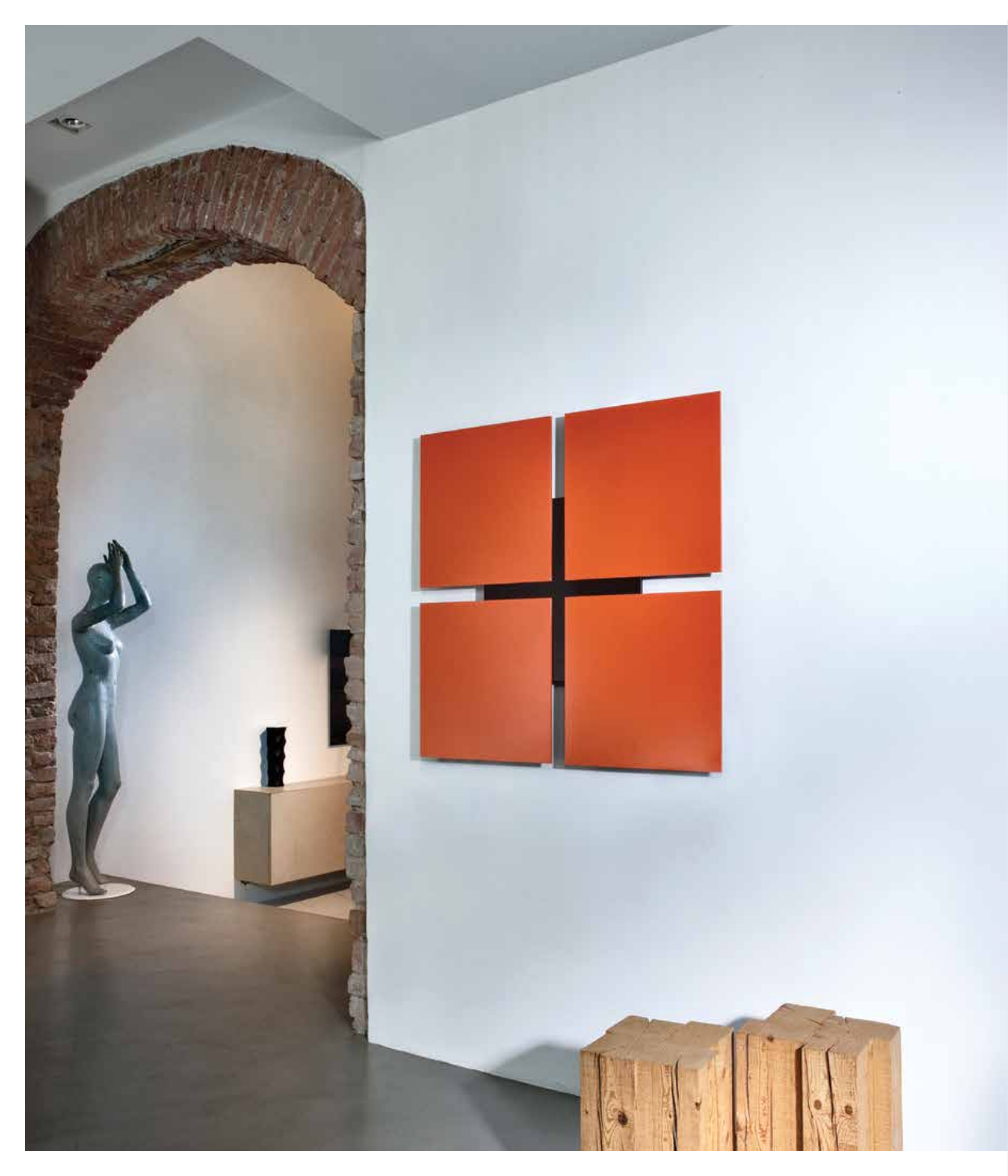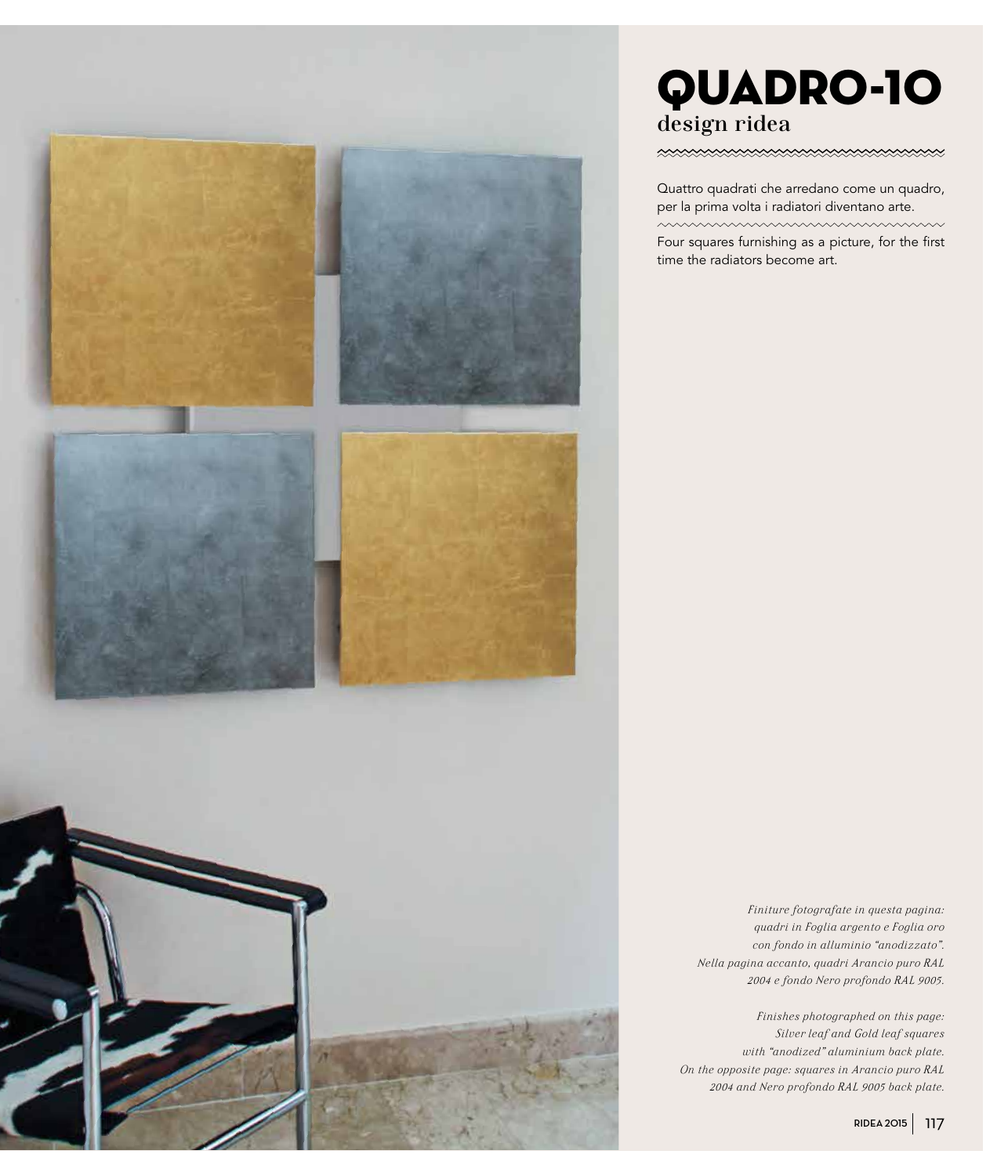

## quadro-10 **design ridea**

Quattro quadrati che arredano come un quadro, per la prima volta i radiatori diventano arte. *mmmmmmmmmmmmm* 

 $\sim$ 

Four squares furnishing as a picture, for the first time the radiators become art.

> *Finiture fotografate in questa pagina: quadri in Foglia argento e Foglia oro con fondo in alluminio "anodizzato". Nella pagina accanto, quadri Arancio puro RAL 2004 e fondo Nero profondo RAL 9005.*

*Finishes photographed on this page: Silver leaf and Gold leaf squares with "anodized" aluminium back plate. On the opposite page: squares in Arancio puro RAL 2004 and Nero profondo RAL 9005 back plate.*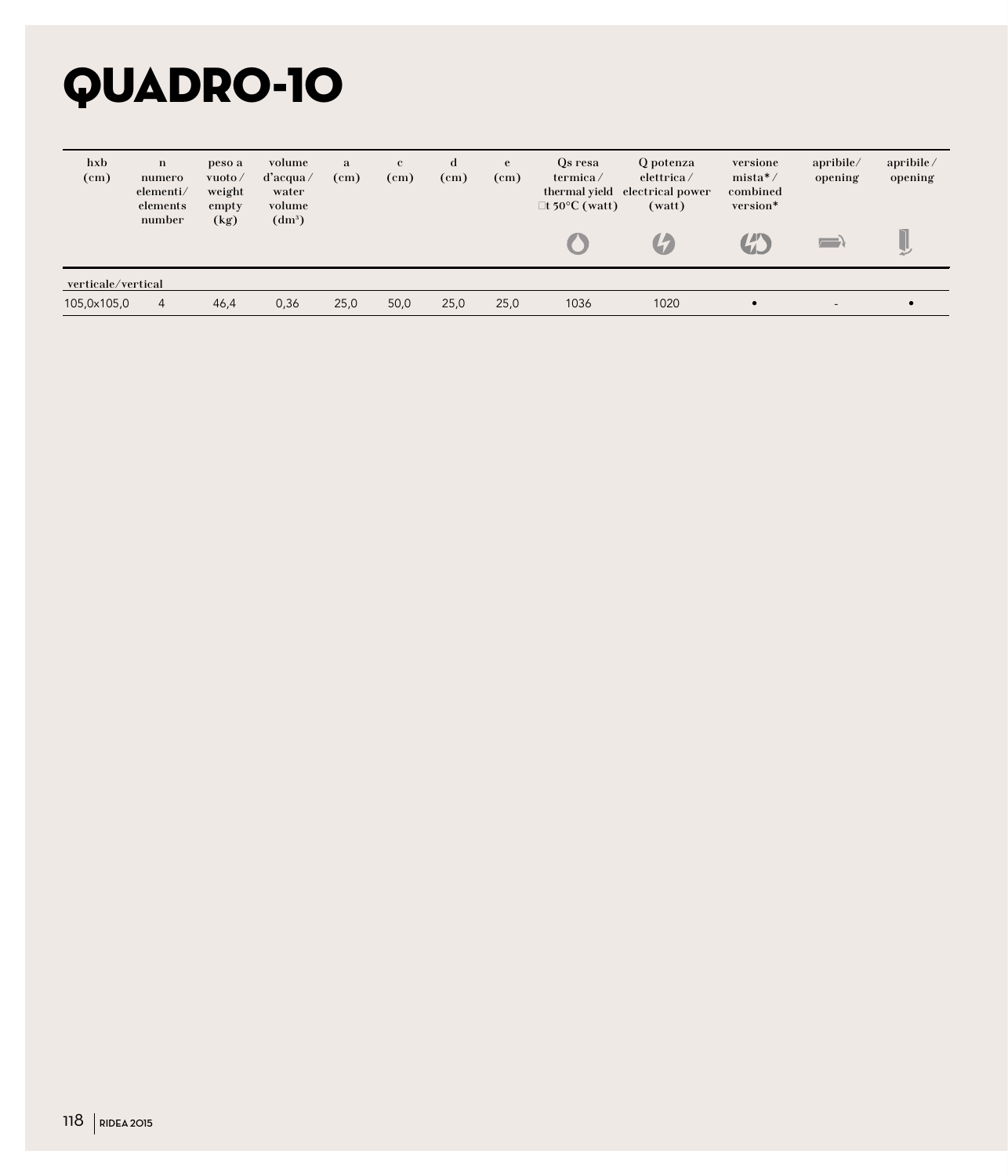## quadro-10

| hxb<br>$\text{(cm)}$ | $\mathbf n$<br>numero<br>elementi/<br>elements<br>number | peso a<br>vuoto/<br>weight<br>empty<br>(kg) | volume<br>d'acqua /<br>water<br>volume<br>$(dm^3)$ | a<br>$\text{(cm)}$ | $\mathbf{c}$<br>(cm) | d<br>$\text{(cm)}$ | $\mathbf{e}$<br>$\epsilon$ (cm) | Os resa<br>termica/<br>thermal yield<br>$\Box$ t 50°C (watt) | Q potenza<br>$e$ lettrica /<br>electrical power<br>(watt) | versione<br>$mista*/$<br>combined<br>version* | apribile/<br>opening | apribile/<br>opening |
|----------------------|----------------------------------------------------------|---------------------------------------------|----------------------------------------------------|--------------------|----------------------|--------------------|---------------------------------|--------------------------------------------------------------|-----------------------------------------------------------|-----------------------------------------------|----------------------|----------------------|
|                      |                                                          |                                             |                                                    |                    |                      |                    |                                 |                                                              | $\boldsymbol{l}$                                          | $\mathcal{L}^r$                               |                      |                      |
| verticale/vertical   |                                                          |                                             |                                                    |                    |                      |                    |                                 |                                                              |                                                           |                                               |                      |                      |
| 105,0x105,0          | $\overline{4}$                                           | 46,4                                        | 0,36                                               | 25,0               | 50,0                 | 25,0               | 25,0                            | 1036                                                         | 1020                                                      | $\bullet$                                     | $\sim$               | $\bullet$            |